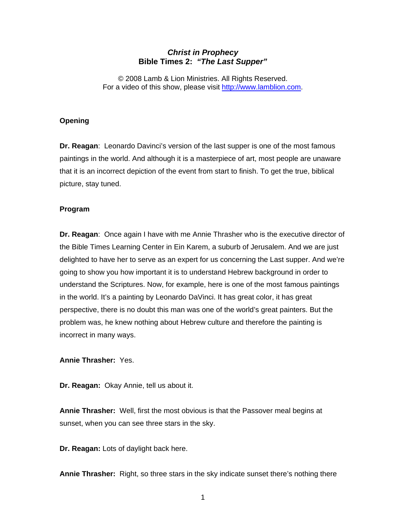## *Christ in Prophecy*  **Bible Times 2:** *"The Last Supper"*

© 2008 Lamb & Lion Ministries. All Rights Reserved. For a video of this show, please visit [http://www.lamblion.com.](http://www.lamblion.com/)

### **Opening**

**Dr. Reagan**: Leonardo Davinci's version of the last supper is one of the most famous paintings in the world. And although it is a masterpiece of art, most people are unaware that it is an incorrect depiction of the event from start to finish. To get the true, biblical picture, stay tuned.

## **Program**

**Dr. Reagan**: Once again I have with me Annie Thrasher who is the executive director of the Bible Times Learning Center in Ein Karem, a suburb of Jerusalem. And we are just delighted to have her to serve as an expert for us concerning the Last supper. And we're going to show you how important it is to understand Hebrew background in order to understand the Scriptures. Now, for example, here is one of the most famous paintings in the world. It's a painting by Leonardo DaVinci. It has great color, it has great perspective, there is no doubt this man was one of the world's great painters. But the problem was, he knew nothing about Hebrew culture and therefore the painting is incorrect in many ways.

**Annie Thrasher:** Yes.

**Dr. Reagan:** Okay Annie, tell us about it.

**Annie Thrasher:** Well, first the most obvious is that the Passover meal begins at sunset, when you can see three stars in the sky.

**Dr. Reagan:** Lots of daylight back here.

**Annie Thrasher:** Right, so three stars in the sky indicate sunset there's nothing there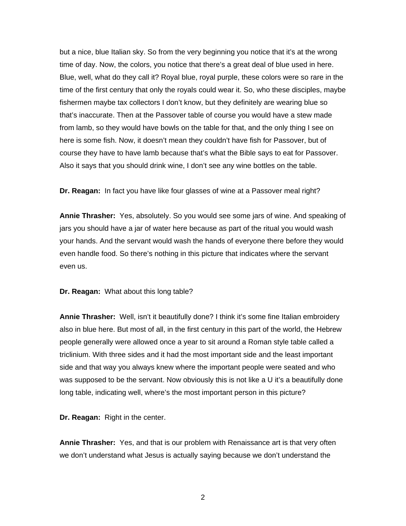but a nice, blue Italian sky. So from the very beginning you notice that it's at the wrong time of day. Now, the colors, you notice that there's a great deal of blue used in here. Blue, well, what do they call it? Royal blue, royal purple, these colors were so rare in the time of the first century that only the royals could wear it. So, who these disciples, maybe fishermen maybe tax collectors I don't know, but they definitely are wearing blue so that's inaccurate. Then at the Passover table of course you would have a stew made from lamb, so they would have bowls on the table for that, and the only thing I see on here is some fish. Now, it doesn't mean they couldn't have fish for Passover, but of course they have to have lamb because that's what the Bible says to eat for Passover. Also it says that you should drink wine, I don't see any wine bottles on the table.

**Dr. Reagan:** In fact you have like four glasses of wine at a Passover meal right?

**Annie Thrasher:** Yes, absolutely. So you would see some jars of wine. And speaking of jars you should have a jar of water here because as part of the ritual you would wash your hands. And the servant would wash the hands of everyone there before they would even handle food. So there's nothing in this picture that indicates where the servant even us.

#### **Dr. Reagan:** What about this long table?

**Annie Thrasher:** Well, isn't it beautifully done? I think it's some fine Italian embroidery also in blue here. But most of all, in the first century in this part of the world, the Hebrew people generally were allowed once a year to sit around a Roman style table called a triclinium. With three sides and it had the most important side and the least important side and that way you always knew where the important people were seated and who was supposed to be the servant. Now obviously this is not like a U it's a beautifully done long table, indicating well, where's the most important person in this picture?

**Dr. Reagan:** Right in the center.

**Annie Thrasher:** Yes, and that is our problem with Renaissance art is that very often we don't understand what Jesus is actually saying because we don't understand the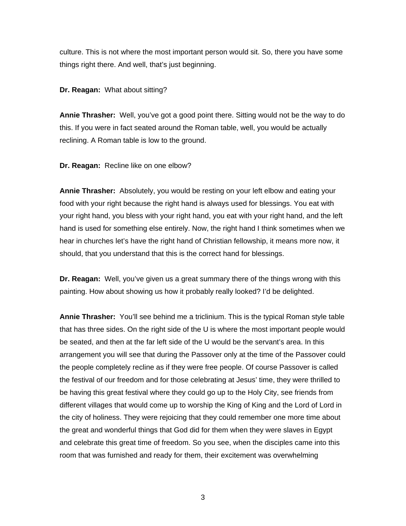culture. This is not where the most important person would sit. So, there you have some things right there. And well, that's just beginning.

**Dr. Reagan:** What about sitting?

**Annie Thrasher:** Well, you've got a good point there. Sitting would not be the way to do this. If you were in fact seated around the Roman table, well, you would be actually reclining. A Roman table is low to the ground.

**Dr. Reagan:** Recline like on one elbow?

**Annie Thrasher:** Absolutely, you would be resting on your left elbow and eating your food with your right because the right hand is always used for blessings. You eat with your right hand, you bless with your right hand, you eat with your right hand, and the left hand is used for something else entirely. Now, the right hand I think sometimes when we hear in churches let's have the right hand of Christian fellowship, it means more now, it should, that you understand that this is the correct hand for blessings.

**Dr. Reagan:** Well, you've given us a great summary there of the things wrong with this painting. How about showing us how it probably really looked? I'd be delighted.

**Annie Thrasher:** You'll see behind me a triclinium. This is the typical Roman style table that has three sides. On the right side of the U is where the most important people would be seated, and then at the far left side of the U would be the servant's area. In this arrangement you will see that during the Passover only at the time of the Passover could the people completely recline as if they were free people. Of course Passover is called the festival of our freedom and for those celebrating at Jesus' time, they were thrilled to be having this great festival where they could go up to the Holy City, see friends from different villages that would come up to worship the King of King and the Lord of Lord in the city of holiness. They were rejoicing that they could remember one more time about the great and wonderful things that God did for them when they were slaves in Egypt and celebrate this great time of freedom. So you see, when the disciples came into this room that was furnished and ready for them, their excitement was overwhelming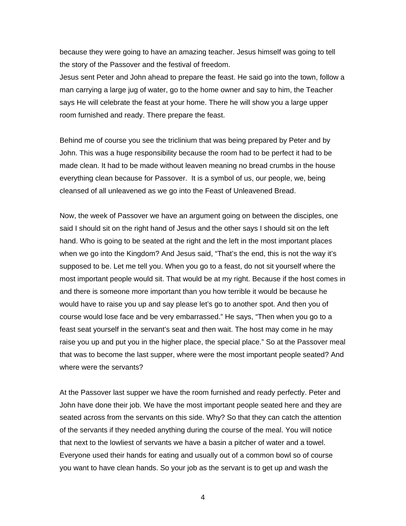because they were going to have an amazing teacher. Jesus himself was going to tell the story of the Passover and the festival of freedom.

Jesus sent Peter and John ahead to prepare the feast. He said go into the town, follow a man carrying a large jug of water, go to the home owner and say to him, the Teacher says He will celebrate the feast at your home. There he will show you a large upper room furnished and ready. There prepare the feast.

Behind me of course you see the triclinium that was being prepared by Peter and by John. This was a huge responsibility because the room had to be perfect it had to be made clean. It had to be made without leaven meaning no bread crumbs in the house everything clean because for Passover. It is a symbol of us, our people, we, being cleansed of all unleavened as we go into the Feast of Unleavened Bread.

Now, the week of Passover we have an argument going on between the disciples, one said I should sit on the right hand of Jesus and the other says I should sit on the left hand. Who is going to be seated at the right and the left in the most important places when we go into the Kingdom? And Jesus said, "That's the end, this is not the way it's supposed to be. Let me tell you. When you go to a feast, do not sit yourself where the most important people would sit. That would be at my right. Because if the host comes in and there is someone more important than you how terrible it would be because he would have to raise you up and say please let's go to another spot. And then you of course would lose face and be very embarrassed." He says, "Then when you go to a feast seat yourself in the servant's seat and then wait. The host may come in he may raise you up and put you in the higher place, the special place." So at the Passover meal that was to become the last supper, where were the most important people seated? And where were the servants?

At the Passover last supper we have the room furnished and ready perfectly. Peter and John have done their job. We have the most important people seated here and they are seated across from the servants on this side. Why? So that they can catch the attention of the servants if they needed anything during the course of the meal. You will notice that next to the lowliest of servants we have a basin a pitcher of water and a towel. Everyone used their hands for eating and usually out of a common bowl so of course you want to have clean hands. So your job as the servant is to get up and wash the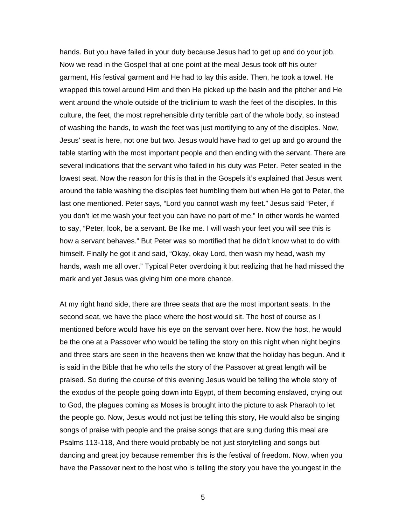hands. But you have failed in your duty because Jesus had to get up and do your job. Now we read in the Gospel that at one point at the meal Jesus took off his outer garment, His festival garment and He had to lay this aside. Then, he took a towel. He wrapped this towel around Him and then He picked up the basin and the pitcher and He went around the whole outside of the triclinium to wash the feet of the disciples. In this culture, the feet, the most reprehensible dirty terrible part of the whole body, so instead of washing the hands, to wash the feet was just mortifying to any of the disciples. Now, Jesus' seat is here, not one but two. Jesus would have had to get up and go around the table starting with the most important people and then ending with the servant. There are several indications that the servant who failed in his duty was Peter. Peter seated in the lowest seat. Now the reason for this is that in the Gospels it's explained that Jesus went around the table washing the disciples feet humbling them but when He got to Peter, the last one mentioned. Peter says, "Lord you cannot wash my feet." Jesus said "Peter, if you don't let me wash your feet you can have no part of me." In other words he wanted to say, "Peter, look, be a servant. Be like me. I will wash your feet you will see this is how a servant behaves." But Peter was so mortified that he didn't know what to do with himself. Finally he got it and said, "Okay, okay Lord, then wash my head, wash my hands, wash me all over." Typical Peter overdoing it but realizing that he had missed the mark and yet Jesus was giving him one more chance.

At my right hand side, there are three seats that are the most important seats. In the second seat, we have the place where the host would sit. The host of course as I mentioned before would have his eye on the servant over here. Now the host, he would be the one at a Passover who would be telling the story on this night when night begins and three stars are seen in the heavens then we know that the holiday has begun. And it is said in the Bible that he who tells the story of the Passover at great length will be praised. So during the course of this evening Jesus would be telling the whole story of the exodus of the people going down into Egypt, of them becoming enslaved, crying out to God, the plagues coming as Moses is brought into the picture to ask Pharaoh to let the people go. Now, Jesus would not just be telling this story, He would also be singing songs of praise with people and the praise songs that are sung during this meal are Psalms 113-118, And there would probably be not just storytelling and songs but dancing and great joy because remember this is the festival of freedom. Now, when you have the Passover next to the host who is telling the story you have the youngest in the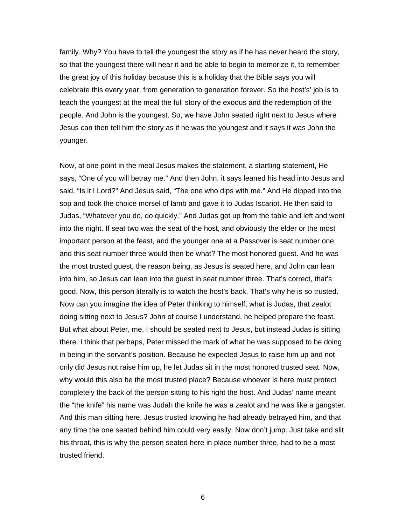family. Why? You have to tell the youngest the story as if he has never heard the story, so that the youngest there will hear it and be able to begin to memorize it, to remember the great joy of this holiday because this is a holiday that the Bible says you will celebrate this every year, from generation to generation forever. So the host's' job is to teach the youngest at the meal the full story of the exodus and the redemption of the people. And John is the youngest. So, we have John seated right next to Jesus where Jesus can then tell him the story as if he was the youngest and it says it was John the younger.

Now, at one point in the meal Jesus makes the statement, a startling statement, He says, "One of you will betray me." And then John, it says leaned his head into Jesus and said, "Is it I Lord?" And Jesus said, "The one who dips with me." And He dipped into the sop and took the choice morsel of lamb and gave it to Judas Iscariot. He then said to Judas, "Whatever you do, do quickly." And Judas got up from the table and left and went into the night. If seat two was the seat of the host, and obviously the elder or the most important person at the feast, and the younger one at a Passover is seat number one, and this seat number three would then be what? The most honored guest. And he was the most trusted guest, the reason being, as Jesus is seated here, and John can lean into him, so Jesus can lean into the guest in seat number three. That's correct, that's good. Now, this person literally is to watch the host's back. That's why he is so trusted. Now can you imagine the idea of Peter thinking to himself, what is Judas, that zealot doing sitting next to Jesus? John of course I understand, he helped prepare the feast. But what about Peter, me, I should be seated next to Jesus, but instead Judas is sitting there. I think that perhaps, Peter missed the mark of what he was supposed to be doing in being in the servant's position. Because he expected Jesus to raise him up and not only did Jesus not raise him up, he let Judas sit in the most honored trusted seat. Now, why would this also be the most trusted place? Because whoever is here must protect completely the back of the person sitting to his right the host. And Judas' name meant the "the knife" his name was Judah the knife he was a zealot and he was like a gangster. And this man sitting here, Jesus trusted knowing he had already betrayed him, and that any time the one seated behind him could very easily. Now don't jump. Just take and slit his throat, this is why the person seated here in place number three, had to be a most trusted friend.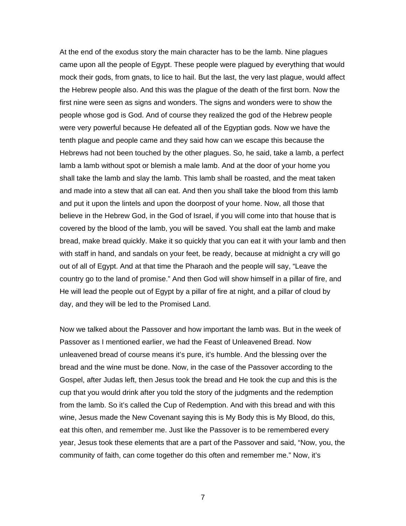At the end of the exodus story the main character has to be the lamb. Nine plagues came upon all the people of Egypt. These people were plagued by everything that would mock their gods, from gnats, to lice to hail. But the last, the very last plague, would affect the Hebrew people also. And this was the plague of the death of the first born. Now the first nine were seen as signs and wonders. The signs and wonders were to show the people whose god is God. And of course they realized the god of the Hebrew people were very powerful because He defeated all of the Egyptian gods. Now we have the tenth plague and people came and they said how can we escape this because the Hebrews had not been touched by the other plagues. So, he said, take a lamb, a perfect lamb a lamb without spot or blemish a male lamb. And at the door of your home you shall take the lamb and slay the lamb. This lamb shall be roasted, and the meat taken and made into a stew that all can eat. And then you shall take the blood from this lamb and put it upon the lintels and upon the doorpost of your home. Now, all those that believe in the Hebrew God, in the God of Israel, if you will come into that house that is covered by the blood of the lamb, you will be saved. You shall eat the lamb and make bread, make bread quickly. Make it so quickly that you can eat it with your lamb and then with staff in hand, and sandals on your feet, be ready, because at midnight a cry will go out of all of Egypt. And at that time the Pharaoh and the people will say, "Leave the country go to the land of promise." And then God will show himself in a pillar of fire, and He will lead the people out of Egypt by a pillar of fire at night, and a pillar of cloud by day, and they will be led to the Promised Land.

Now we talked about the Passover and how important the lamb was. But in the week of Passover as I mentioned earlier, we had the Feast of Unleavened Bread. Now unleavened bread of course means it's pure, it's humble. And the blessing over the bread and the wine must be done. Now, in the case of the Passover according to the Gospel, after Judas left, then Jesus took the bread and He took the cup and this is the cup that you would drink after you told the story of the judgments and the redemption from the lamb. So it's called the Cup of Redemption. And with this bread and with this wine, Jesus made the New Covenant saying this is My Body this is My Blood, do this, eat this often, and remember me. Just like the Passover is to be remembered every year, Jesus took these elements that are a part of the Passover and said, "Now, you, the community of faith, can come together do this often and remember me." Now, it's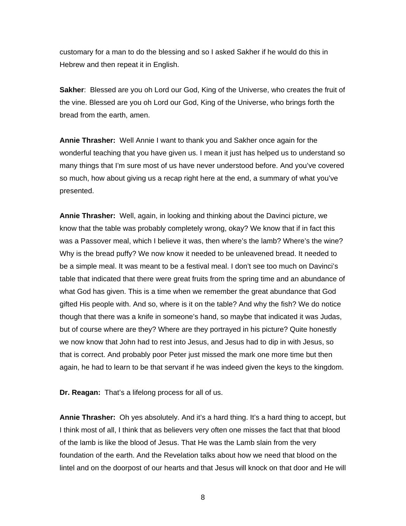customary for a man to do the blessing and so I asked Sakher if he would do this in Hebrew and then repeat it in English.

**Sakher**: Blessed are you oh Lord our God, King of the Universe, who creates the fruit of the vine. Blessed are you oh Lord our God, King of the Universe, who brings forth the bread from the earth, amen.

**Annie Thrasher:** Well Annie I want to thank you and Sakher once again for the wonderful teaching that you have given us. I mean it just has helped us to understand so many things that I'm sure most of us have never understood before. And you've covered so much, how about giving us a recap right here at the end, a summary of what you've presented.

**Annie Thrasher:** Well, again, in looking and thinking about the Davinci picture, we know that the table was probably completely wrong, okay? We know that if in fact this was a Passover meal, which I believe it was, then where's the lamb? Where's the wine? Why is the bread puffy? We now know it needed to be unleavened bread. It needed to be a simple meal. It was meant to be a festival meal. I don't see too much on Davinci's table that indicated that there were great fruits from the spring time and an abundance of what God has given. This is a time when we remember the great abundance that God gifted His people with. And so, where is it on the table? And why the fish? We do notice though that there was a knife in someone's hand, so maybe that indicated it was Judas, but of course where are they? Where are they portrayed in his picture? Quite honestly we now know that John had to rest into Jesus, and Jesus had to dip in with Jesus, so that is correct. And probably poor Peter just missed the mark one more time but then again, he had to learn to be that servant if he was indeed given the keys to the kingdom.

**Dr. Reagan:** That's a lifelong process for all of us.

**Annie Thrasher:** Oh yes absolutely. And it's a hard thing. It's a hard thing to accept, but I think most of all, I think that as believers very often one misses the fact that that blood of the lamb is like the blood of Jesus. That He was the Lamb slain from the very foundation of the earth. And the Revelation talks about how we need that blood on the lintel and on the doorpost of our hearts and that Jesus will knock on that door and He will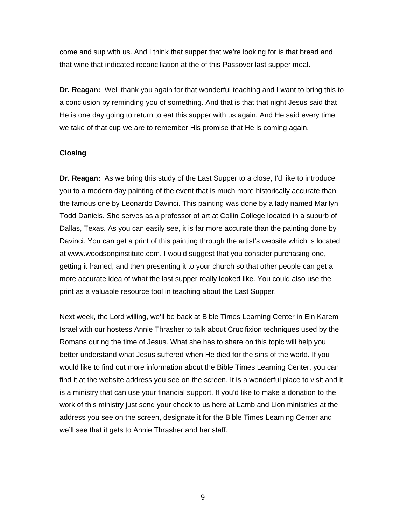come and sup with us. And I think that supper that we're looking for is that bread and that wine that indicated reconciliation at the of this Passover last supper meal.

**Dr. Reagan:** Well thank you again for that wonderful teaching and I want to bring this to a conclusion by reminding you of something. And that is that that night Jesus said that He is one day going to return to eat this supper with us again. And He said every time we take of that cup we are to remember His promise that He is coming again.

## **Closing**

**Dr. Reagan:** As we bring this study of the Last Supper to a close, I'd like to introduce you to a modern day painting of the event that is much more historically accurate than the famous one by Leonardo Davinci. This painting was done by a lady named Marilyn Todd Daniels. She serves as a professor of art at Collin College located in a suburb of Dallas, Texas. As you can easily see, it is far more accurate than the painting done by Davinci. You can get a print of this painting through the artist's website which is located at www.woodsonginstitute.com. I would suggest that you consider purchasing one, getting it framed, and then presenting it to your church so that other people can get a more accurate idea of what the last supper really looked like. You could also use the print as a valuable resource tool in teaching about the Last Supper.

Next week, the Lord willing, we'll be back at Bible Times Learning Center in Ein Karem Israel with our hostess Annie Thrasher to talk about Crucifixion techniques used by the Romans during the time of Jesus. What she has to share on this topic will help you better understand what Jesus suffered when He died for the sins of the world. If you would like to find out more information about the Bible Times Learning Center, you can find it at the website address you see on the screen. It is a wonderful place to visit and it is a ministry that can use your financial support. If you'd like to make a donation to the work of this ministry just send your check to us here at Lamb and Lion ministries at the address you see on the screen, designate it for the Bible Times Learning Center and we'll see that it gets to Annie Thrasher and her staff.